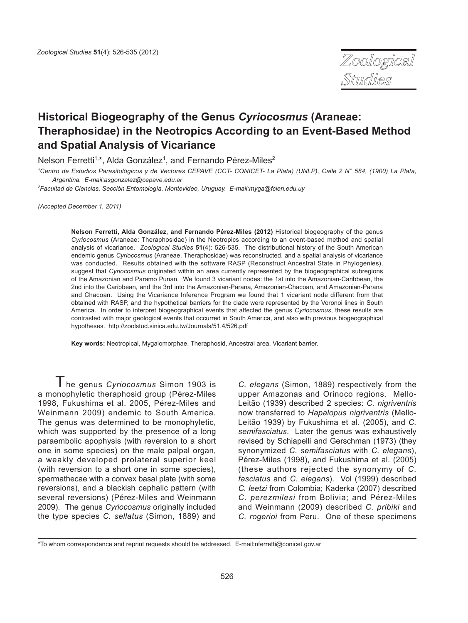

# **Historical Biogeography of the Genus** *Cyriocosmus* **(Araneae: Theraphosidae) in the Neotropics According to an Event-Based Method and Spatial Analysis of Vicariance**

Nelson Ferretti<sup>1,\*</sup>, Alda González<sup>1</sup>, and Fernando Pérez-Miles<sup>2</sup>

*1 Centro de Estudios Parasitológicos y de Vectores CEPAVE (CCT- CONICET- La Plata) (UNLP), Calle 2 N° 584, (1900) La Plata, Argentina. E-mail:asgonzalez@cepave.edu.ar* 

*2 Facultad de Ciencias, Sección Entomología, Montevideo, Uruguay. E-mail:myga@fcien.edu.uy*

*(Accepted December 1, 2011)*

**Nelson Ferretti, Alda González, and Fernando Pérez-Miles (2012)** Historical biogeography of the genus *Cyriocosmus* (Araneae: Theraphosidae) in the Neotropics according to an event-based method and spatial analysis of vicariance. *Zoological Studies* **51**(4): 526-535. The distributional history of the South American endemic genus *Cyriocosmus* (Araneae, Theraphosidae) was reconstructed, and a spatial analysis of vicariance was conducted. Results obtained with the software RASP (Reconstruct Ancestral State in Phylogenies), suggest that *Cyriocosmus* originated within an area currently represented by the biogeographical subregions of the Amazonian and Paramo Punan. We found 3 vicariant nodes: the 1st into the Amazonian-Caribbean, the 2nd into the Caribbean, and the 3rd into the Amazonian-Parana, Amazonian-Chacoan, and Amazonian-Parana and Chacoan. Using the Vicariance Inference Program we found that 1 vicariant node different from that obtained with RASP, and the hypothetical barriers for the clade were represented by the Voronoi lines in South America. In order to interpret biogeographical events that affected the genus *Cyriocosmus*, these results are contrasted with major geological events that occurred in South America, and also with previous biogeographical hypotheses. http://zoolstud.sinica.edu.tw/Journals/51.4/526.pdf

**Key words:** Neotropical, Mygalomorphae, Theraphosid, Ancestral area, Vicariant barrier.

The genus *Cyriocosmus* Simon 1903 is a monophyletic theraphosid group (Pérez-Miles 1998, Fukushima et al. 2005, Pérez-Miles and Weinmann 2009) endemic to South America. The genus was determined to be monophyletic, which was supported by the presence of a long paraembolic apophysis (with reversion to a short one in some species) on the male palpal organ, a weakly developed prolateral superior keel (with reversion to a short one in some species), spermathecae with a convex basal plate (with some reversions), and a blackish cephalic pattern (with several reversions) (Pérez-Miles and Weinmann 2009). The genus *Cyriocosmus* originally included the type species *C. sellatus* (Simon, 1889) and

*C. elegans* (Simon, 1889) respectively from the upper Amazonas and Orinoco regions. Mello-Leitão (1939) described 2 species: *C. nigriventris*  now transferred to *Hapalopus nigriventris* (Mello-Leitão 1939) by Fukushima et al. (2005), and *C. semifasciatus*. Later the genus was exhaustively revised by Schiapelli and Gerschman (1973) (they synonymized *C. semifasciatus* with *C. elegans*), Pérez-Miles (1998), and Fukushima et al. (2005) (these authors rejected the synonymy of *C. fasciatus* and *C. elegans*). Vol (1999) described *C. leetzi* from Colombia; Kaderka (2007) described *C. perezmilesi* from Bolivia; and Pérez-Miles and Weinmann (2009) described *C. pribiki* and *C. rogerioi* from Peru. One of these specimens

<sup>\*</sup>To whom correspondence and reprint requests should be addressed. E-mail:nferretti@conicet.gov.ar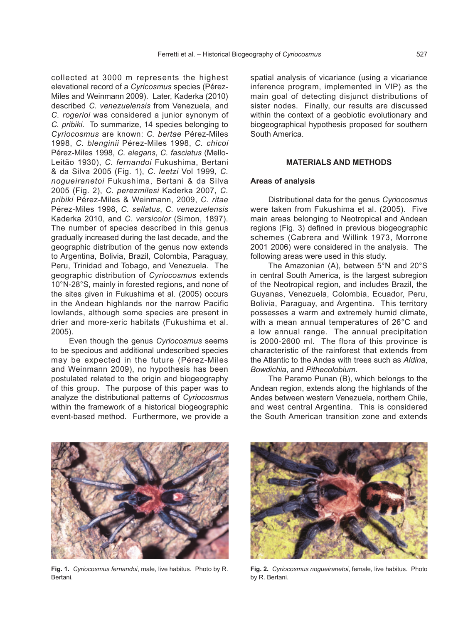collected at 3000 m represents the highest elevational record of a *Cyricosmus* species (Pérez-Miles and Weinmann 2009). Later, Kaderka (2010) described *C. venezuelensis* from Venezuela, and *C. rogerioi* was considered a junior synonym of *C. pribiki*. To summarize, 14 species belonging to *Cyriocosmus* are known: *C. bertae* Pérez-Miles 1998, *C. blenginii* Pérez-Miles 1998, *C. chicoi*  Pérez-Miles 1998, *C. elegans*, *C. fasciatus* (Mello-Leitão 1930), *C. fernandoi* Fukushima, Bertani & da Silva 2005 (Fig. 1), *C. leetzi* Vol 1999, *C. nogueiranetoi* Fukushima, Bertani & da Silva 2005 (Fig. 2), *C. perezmilesi* Kaderka 2007, *C. pribiki* Pérez-Miles & Weinmann, 2009, *C. ritae*  Pérez-Miles 1998, *C. sellatus*, *C. venezuelensis*  Kaderka 2010, and *C. versicolor* (Simon, 1897). The number of species described in this genus gradually increased during the last decade, and the geographic distribution of the genus now extends to Argentina, Bolivia, Brazil, Colombia, Paraguay, Peru, Trinidad and Tobago, and Venezuela. The geographic distribution of *Cyriocosmus* extends 10°N-28°S, mainly in forested regions, and none of the sites given in Fukushima et al. (2005) occurs in the Andean highlands nor the narrow Pacific lowlands, although some species are present in drier and more-xeric habitats (Fukushima et al. 2005).

Even though the genus *Cyriocosmus* seems to be specious and additional undescribed species may be expected in the future (Pérez-Miles and Weinmann 2009), no hypothesis has been postulated related to the origin and biogeography of this group. The purpose of this paper was to analyze the distributional patterns of *Cyriocosmus*  within the framework of a historical biogeographic event-based method. Furthermore, we provide a spatial analysis of vicariance (using a vicariance inference program, implemented in VIP) as the main goal of detecting disjunct distributions of sister nodes. Finally, our results are discussed within the context of a geobiotic evolutionary and biogeographical hypothesis proposed for southern South America.

#### **MATERIALS AND METHODS**

## **Areas of analysis**

Distributional data for the genus *Cyriocosmus* were taken from Fukushima et al. (2005). Five main areas belonging to Neotropical and Andean regions (Fig. 3) defined in previous biogeographic schemes (Cabrera and Willink 1973, Morrone 2001 2006) were considered in the analysis. The following areas were used in this study.

The Amazonian (A), between 5°N and 20°S in central South America, is the largest subregion of the Neotropical region, and includes Brazil, the Guyanas, Venezuela, Colombia, Ecuador, Peru, Bolivia, Paraguay, and Argentina. This territory possesses a warm and extremely humid climate, with a mean annual temperatures of 26°C and a low annual range. The annual precipitation is 2000-2600 ml. The flora of this province is characteristic of the rainforest that extends from the Atlantic to the Andes with trees such as *Aldina*, *Bowdichia*, and *Pithecolobium*.

The Paramo Punan (B), which belongs to the Andean region, extends along the highlands of the Andes between western Venezuela, northern Chile, and west central Argentina. This is considered the South American transition zone and extends



**Fig. 1.** *Cyriocosmus fernandoi*, male, live habitus. Photo by R. Bertani.



**Fig. 2.** *Cyriocosmus nogueiranetoi*, female, live habitus. Photo by R. Bertani.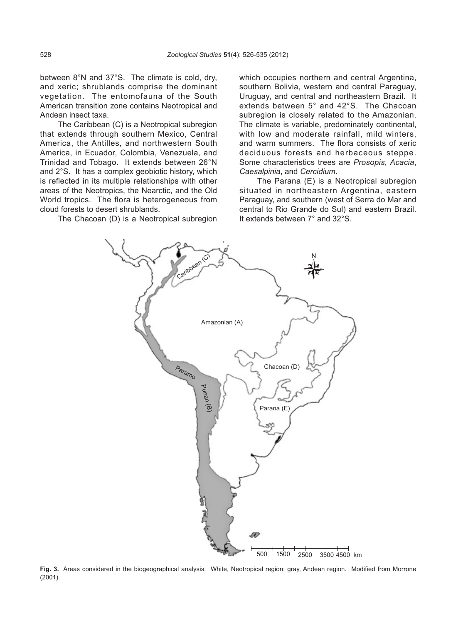between 8°N and 37°S. The climate is cold, dry, and xeric; shrublands comprise the dominant vegetation. The entomofauna of the South American transition zone contains Neotropical and Andean insect taxa.

The Caribbean (C) is a Neotropical subregion that extends through southern Mexico, Central America, the Antilles, and northwestern South America, in Ecuador, Colombia, Venezuela, and Trinidad and Tobago. It extends between 26°N and 2°S. It has a complex geobiotic history, which is reflected in its multiple relationships with other areas of the Neotropics, the Nearctic, and the Old World tropics. The flora is heterogeneous from cloud forests to desert shrublands.

The Chacoan (D) is a Neotropical subregion

aribbe

Paramo

Punan (B)

which occupies northern and central Argentina, southern Bolivia, western and central Paraguay, Uruguay, and central and northeastern Brazil. It extends between 5° and 42°S. The Chacoan subregion is closely related to the Amazonian. The climate is variable, predominately continental, with low and moderate rainfall, mild winters, and warm summers. The flora consists of xeric deciduous forests and herbaceous steppe. Some characteristics trees are *Prosopis*, *Acacia*, *Caesalpinia*, and *Cercidium*.

The Parana (E) is a Neotropical subregion situated in northeastern Argentina, eastern Paraguay, and southern (west of Serra do Mar and central to Rio Grande do Sul) and eastern Brazil. It extends between 7° and 32°S.

N

Chacoan (D)

Parana (E)



Amazonian (A)

**Fig. 3.** Areas considered in the biogeographical analysis. White, Neotropical region; gray, Andean region. Modified from Morrone (2001).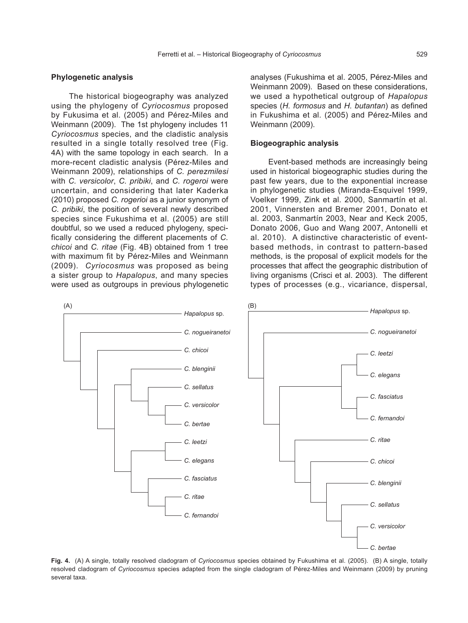#### **Phylogenetic analysis**

The historical biogeography was analyzed using the phylogeny of *Cyriocosmus* proposed by Fukusima et al. (2005) and Pérez-Miles and Weinmann (2009). The 1st phylogeny includes 11 *Cyriocosmus* species, and the cladistic analysis resulted in a single totally resolved tree (Fig. 4A) with the same topology in each search. In a more-recent cladistic analysis (Pérez-Miles and Weinmann 2009), relationships of *C. perezmilesi* with *C. versicolor*, *C. pribiki*, and *C. rogeroi* were uncertain, and considering that later Kaderka (2010) proposed *C. rogerioi* as a junior synonym of *C. pribiki*, the position of several newly described species since Fukushima et al. (2005) are still doubtful, so we used a reduced phylogeny, specifically considering the different placements of *C. chicoi* and *C. ritae* (Fig. 4B) obtained from 1 tree with maximum fit by Pérez-Miles and Weinmann (2009). *Cyriocosmus* was proposed as being a sister group to *Hapalopus*, and many species were used as outgroups in previous phylogenetic

analyses (Fukushima et al. 2005, Pérez-Miles and Weinmann 2009). Based on these considerations, we used a hypothetical outgroup of *Hapalopus* species (*H. formosus* and *H. butantan*) as defined in Fukushima et al. (2005) and Pérez-Miles and Weinmann (2009).

#### **Biogeographic analysis**

Event-based methods are increasingly being used in historical biogeographic studies during the past few years, due to the exponential increase in phylogenetic studies (Miranda-Esquivel 1999, Voelker 1999, Zink et al. 2000, Sanmartín et al. 2001, Vinnersten and Bremer 2001, Donato et al. 2003, Sanmartín 2003, Near and Keck 2005, Donato 2006, Guo and Wang 2007, Antonelli et al. 2010). A distinctive characteristic of eventbased methods, in contrast to pattern-based methods, is the proposal of explicit models for the processes that affect the geographic distribution of living organisms (Crisci et al. 2003). The different types of processes (e.g., vicariance, dispersal,



**Fig. 4.** (A) A single, totally resolved cladogram of *Cyriocosmus* species obtained by Fukushima et al. (2005). (B) A single, totally resolved cladogram of *Cyriocosmus* species adapted from the single cladogram of Pérez-Miles and Weinmann (2009) by pruning several taxa.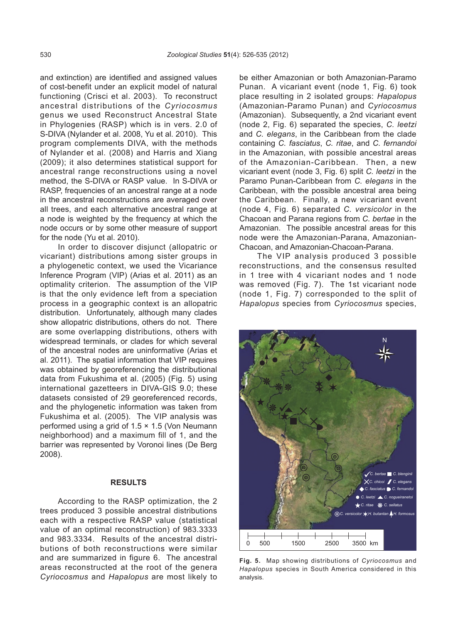and extinction) are identified and assigned values of cost-benefit under an explicit model of natural functioning (Crisci et al. 2003). To reconstruct ancestral distributions of the *Cyriocosmus* genus we used Reconstruct Ancestral State in Phylogenies (RASP) which is in vers. 2.0 of S-DIVA (Nylander et al. 2008, Yu et al. 2010). This program complements DIVA, with the methods of Nylander et al. (2008) and Harris and Xiang (2009); it also determines statistical support for ancestral range reconstructions using a novel method, the S-DIVA or RASP value. In S-DIVA or RASP, frequencies of an ancestral range at a node in the ancestral reconstructions are averaged over all trees, and each alternative ancestral range at a node is weighted by the frequency at which the node occurs or by some other measure of support for the node (Yu et al. 2010).

In order to discover disjunct (allopatric or vicariant) distributions among sister groups in a phylogenetic context, we used the Vicariance Inference Program (VIP) (Arias et al. 2011) as an optimality criterion. The assumption of the VIP is that the only evidence left from a speciation process in a geographic context is an allopatric distribution. Unfortunately, although many clades show allopatric distributions, others do not. There are some overlapping distributions, others with widespread terminals, or clades for which several of the ancestral nodes are uninformative (Arias et al. 2011). The spatial information that VIP requires was obtained by georeferencing the distributional data from Fukushima et al. (2005) (Fig. 5) using international gazetteers in DIVA-GIS 9.0; these datasets consisted of 29 georeferenced records, and the phylogenetic information was taken from Fukushima et al. (2005). The VIP analysis was performed using a grid of 1.5 × 1.5 (Von Neumann neighborhood) and a maximum fill of 1, and the barrier was represented by Voronoi lines (De Berg 2008).

### **RESULTS**

According to the RASP optimization, the 2 trees produced 3 possible ancestral distributions each with a respective RASP value (statistical value of an optimal reconstruction) of 983.3333 and 983.3334. Results of the ancestral distributions of both reconstructions were similar and are summarized in figure 6. The ancestral areas reconstructed at the root of the genera *Cyriocosmus* and *Hapalopus* are most likely to

be either Amazonian or both Amazonian-Paramo Punan. A vicariant event (node 1, Fig. 6) took place resulting in 2 isolated groups: *Hapalopus* (Amazonian-Paramo Punan) and *Cyriocosmus*  (Amazonian). Subsequently, a 2nd vicariant event (node 2, Fig. 6) separated the species, *C. leetzi* and *C. elegans*, in the Caribbean from the clade containing *C. fasciatus*, *C. ritae*, and *C. fernandoi*  in the Amazonian, with possible ancestral areas of the Amazonian-Caribbean. Then, a new vicariant event (node 3, Fig. 6) split *C. leetzi* in the Paramo Punan-Caribbean from *C. elegans* in the Caribbean, with the possible ancestral area being the Caribbean. Finally, a new vicariant event (node 4, Fig. 6) separated *C. versicolor* in the Chacoan and Parana regions from *C. bertae* in the Amazonian. The possible ancestral areas for this node were the Amazonian-Parana, Amazonian-Chacoan, and Amazonian-Chacoan-Parana.

The VIP analysis produced 3 possible reconstructions, and the consensus resulted in 1 tree with 4 vicariant nodes and 1 node was removed (Fig. 7). The 1st vicariant node (node 1, Fig. 7) corresponded to the split of *Hapalopus* species from *Cyriocosmus* species,



**Fig. 5.** Map showing distributions of *Cyriocosmus* and *Hapalopus* species in South America considered in this analysis.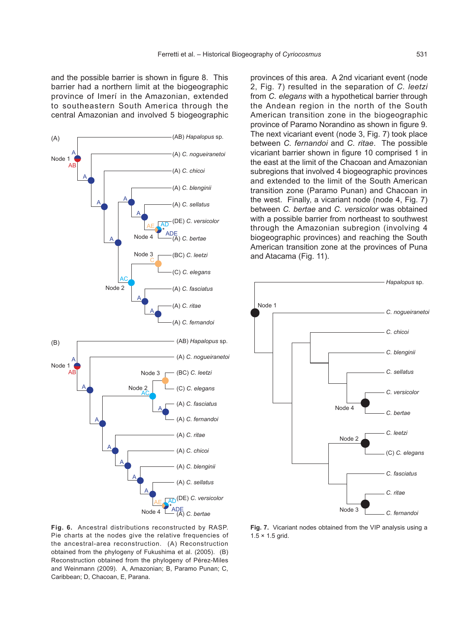and the possible barrier is shown in figure 8. This barrier had a northern limit at the biogeographic province of Imerí in the Amazonian, extended to southeastern South America through the central Amazonian and involved 5 biogeographic



**Fig. 6.** Ancestral distributions reconstructed by RASP. Pie charts at the nodes give the relative frequencies of the ancestral-area reconstruction. (A) Reconstruction obtained from the phylogeny of Fukushima et al. (2005). (B) Reconstruction obtained from the phylogeny of Pérez-Miles and Weinmann (2009). A, Amazonian; B, Paramo Punan; C, Caribbean; D, Chacoan, E, Parana.

provinces of this area. A 2nd vicariant event (node 2, Fig. 7) resulted in the separation of *C. leetzi* from *C. elegans* with a hypothetical barrier through the Andean region in the north of the South American transition zone in the biogeographic province of Paramo Norandino as shown in figure 9. The next vicariant event (node 3, Fig. 7) took place between *C. fernandoi* and *C. ritae*. The possible vicariant barrier shown in figure 10 comprised 1 in the east at the limit of the Chacoan and Amazonian subregions that involved 4 biogeographic provinces and extended to the limit of the South American transition zone (Paramo Punan) and Chacoan in the west. Finally, a vicariant node (node 4, Fig. 7) between *C. bertae* and *C. versicolor* was obtained with a possible barrier from northeast to southwest through the Amazonian subregion (involving 4 biogeographic provinces) and reaching the South American transition zone at the provinces of Puna and Atacama (Fig. 11).



**Fig. 7.** Vicariant nodes obtained from the VIP analysis using a  $1.5 \times 1.5$  grid.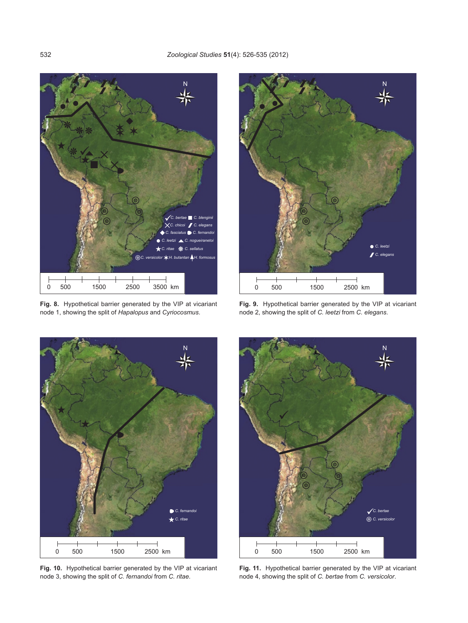

**Fig. 8.** Hypothetical barrier generated by the VIP at vicariant node 1, showing the split of *Hapalopus* and *Cyriocosmus*.



**Fig. 9.** Hypothetical barrier generated by the VIP at vicariant node 2, showing the split of *C. leetzi* from *C. elegans*.



**Fig. 10.** Hypothetical barrier generated by the VIP at vicariant node 3, showing the split of *C. fernandoi* from *C. ritae*.



**Fig. 11.** Hypothetical barrier generated by the VIP at vicariant node 4, showing the split of *C. bertae* from *C. versicolor*.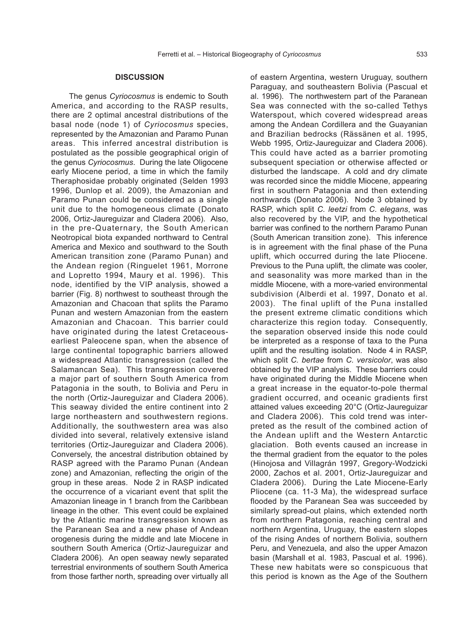The genus *Cyriocosmus* is endemic to South America, and according to the RASP results, there are 2 optimal ancestral distributions of the basal node (node 1) of *Cyriocosmus* species, represented by the Amazonian and Paramo Punan areas. This inferred ancestral distribution is postulated as the possible geographical origin of the genus *Cyriocosmus*. During the late Oligocene early Miocene period, a time in which the family Theraphosidae probably originated (Selden 1993 1996, Dunlop et al. 2009), the Amazonian and Paramo Punan could be considered as a single unit due to the homogeneous climate (Donato 2006, Ortiz-Jaureguizar and Cladera 2006). Also, in the pre-Quaternary, the South American Neotropical biota expanded northward to Central America and Mexico and southward to the South American transition zone (Paramo Punan) and the Andean region (Ringuelet 1961, Morrone and Lopretto 1994, Maury et al. 1996). This node, identified by the VIP analysis, showed a barrier (Fig. 8) northwest to southeast through the Amazonian and Chacoan that splits the Paramo Punan and western Amazonian from the eastern Amazonian and Chacoan. This barrier could have originated during the latest Cretaceousearliest Paleocene span, when the absence of large continental topographic barriers allowed a widespread Atlantic transgression (called the Salamancan Sea). This transgression covered a major part of southern South America from Patagonia in the south, to Bolivia and Peru in the north (Ortiz-Jaureguizar and Cladera 2006). This seaway divided the entire continent into 2 large northeastern and southwestern regions. Additionally, the southwestern area was also divided into several, relatively extensive island territories (Ortiz-Jaureguizar and Cladera 2006). Conversely, the ancestral distribution obtained by RASP agreed with the Paramo Punan (Andean zone) and Amazonian, reflecting the origin of the group in these areas. Node 2 in RASP indicated the occurrence of a vicariant event that split the Amazonian lineage in 1 branch from the Caribbean lineage in the other. This event could be explained by the Atlantic marine transgression known as the Paranean Sea and a new phase of Andean orogenesis during the middle and late Miocene in southern South America (Ortiz-Jaureguizar and Cladera 2006). An open seaway newly separated terrestrial environments of southern South America from those farther north, spreading over virtually all

of eastern Argentina, western Uruguay, southern Paraguay, and southeastern Bolivia (Pascual et al. 1996). The northwestern part of the Paranean Sea was connected with the so-called Tethys Waterspout, which covered widespread areas among the Andean Cordillera and the Guayanian and Brazilian bedrocks (Rässänen et al. 1995, Webb 1995, Ortiz-Jaureguizar and Cladera 2006). This could have acted as a barrier promoting subsequent speciation or otherwise affected or disturbed the landscape. A cold and dry climate was recorded since the middle Miocene, appearing first in southern Patagonia and then extending northwards (Donato 2006). Node 3 obtained by RASP, which split *C. leetzi* from *C. elegans*, was also recovered by the VIP, and the hypothetical barrier was confined to the northern Paramo Punan (South American transition zone). This inference is in agreement with the final phase of the Puna uplift, which occurred during the late Pliocene. Previous to the Puna uplift, the climate was cooler, and seasonality was more marked than in the middle Miocene, with a more-varied environmental subdivision (Alberdi et al. 1997, Donato et al. 2003). The final uplift of the Puna installed the present extreme climatic conditions which characterize this region today. Consequently, the separation observed inside this node could be interpreted as a response of taxa to the Puna uplift and the resulting isolation. Node 4 in RASP, which split *C. bertae* from *C. versicolor*, was also obtained by the VIP analysis. These barriers could have originated during the Middle Miocene when a great increase in the equator-to-pole thermal gradient occurred, and oceanic gradients first attained values exceeding 20°C (Ortiz-Jaureguizar and Cladera 2006). This cold trend was interpreted as the result of the combined action of the Andean uplift and the Western Antarctic glaciation. Both events caused an increase in the thermal gradient from the equator to the poles (Hinojosa and Villagrán 1997, Gregory-Wodzicki 2000, Zachos et al. 2001, Ortiz-Jaureguizar and Cladera 2006). During the Late Miocene-Early Pliocene (ca. 11-3 Ma), the widespread surface flooded by the Paranean Sea was succeeded by similarly spread-out plains, which extended north from northern Patagonia, reaching central and northern Argentina, Uruguay, the eastern slopes of the rising Andes of northern Bolivia, southern Peru, and Venezuela, and also the upper Amazon basin (Marshall et al. 1983, Pascual et al. 1996). These new habitats were so conspicuous that this period is known as the Age of the Southern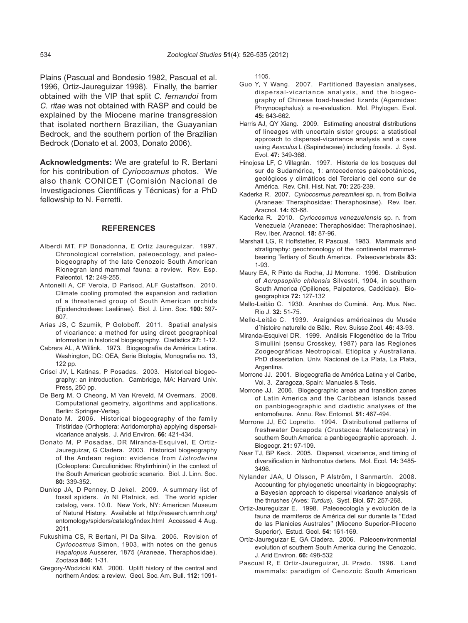Plains (Pascual and Bondesio 1982, Pascual et al. 1996, Ortiz-Jaureguizar 1998). Finally, the barrier obtained with the VIP that split *C. fernandoi* from *C. ritae* was not obtained with RASP and could be explained by the Miocene marine transgression that isolated northern Brazilian, the Guayanian Bedrock, and the southern portion of the Brazilian Bedrock (Donato et al. 2003, Donato 2006).

**Acknowledgments:** We are grateful to R. Bertani for his contribution of *Cyriocosmus* photos. We also thank CONICET (Comisión Nacional de Investigaciones Científicas y Técnicas) for a PhD fellowship to N. Ferretti.

#### **REFERENCES**

- Alberdi MT, FP Bonadonna, E Ortiz Jaureguizar. 1997. Chronological correlation, paleoecology, and paleobiogeography of the late Cenozoic South American Rionegran land mammal fauna: a review. Rev. Esp. Paleontol. **12:** 249-255.
- Antonelli A, CF Verola, D Parisod, ALF Gustaffson. 2010. Climate cooling promoted the expansion and radiation of a threatened group of South American orchids (Epidendroideae: Laeliinae). Biol. J. Linn. Soc. **100:** 597- 607.
- Arias JS, C Szumik, P Goloboff. 2011. Spatial analysis of vicariance: a method for using direct geographical information in historical biogeography. Cladistics **27:** 1-12.
- Cabrera AL, A Willink. 1973. Biogeografía de América Latina. Washington, DC: OEA, Serie Biología, Monografia no. 13, 122 pp.
- Crisci JV, L Katinas, P Posadas. 2003. Historical biogeography: an introduction. Cambridge, MA: Harvard Univ. Press, 250 pp.
- De Berg M, O Cheong, M Van Kreveld, M Overmars. 2008. Computational geometry, algorithms and applications. Berlin: Springer-Verlag.
- Donato M. 2006. Historical biogeography of the family Tristiridae (Orthoptera: Acridomorpha) applying dispersalvicariance analysis. J. Arid Environ. **66:** 421-434.
- Donato M, P Posadas, DR Miranda-Esquivel, E Ortiz-Jaureguizar, G Cladera. 2003. Historical biogeography of the Andean region: evidence from *Listroderina* (Coleoptera: Curculionidae: Rhytirrhinini) in the context of the South American geobiotic scenario. Biol. J. Linn. Soc. **80:** 339-352.
- Dunlop JA, D Penney, D Jekel. 2009. A summary list of fossil spiders. *In* NI Platnick, ed. The world spider catalog, vers. 10.0. New York, NY: American Museum of Natural History. Available at http://research.amnh.org/ entomology/spiders/catalog/index.html Accessed 4 Aug. 2011.
- Fukushima CS, R Bertani, PI Da Silva. 2005. Revision of *Cyriocosmus* Simon, 1903, with notes on the genus *Hapalopus* Ausserer, 1875 (Araneae, Theraphosidae). Zootaxa **846:** 1-31.
- Gregory-Wodzicki KM. 2000. Uplift history of the central and northern Andes: a review. Geol. Soc. Am. Bull. **112:** 1091-

1105.

- Guo Y, Y Wang. 2007. Partitioned Bayesian analyses, dispersal-vicariance analysis, and the biogeography of Chinese toad-headed lizards (Agamidae: Phrynocephalus): a re-evaluation. Mol. Phylogen. Evol. **45:** 643-662.
- Harris AJ, QY Xiang. 2009. Estimating ancestral distributions of lineages with uncertain sister groups: a statistical approach to dispersal-vicariance analysis and a case using *Aesculus* L (Sapindaceae) including fossils. J. Syst. Evol. **47:** 349-368.
- Hinojosa LF, C Villagrán. 1997. Historia de los bosques del sur de Sudamérica, 1: antecedentes paleobotánicos, geológicos y climáticos del Terciario del cono sur de América. Rev. Chil. Hist. Nat. **70:** 225-239.
- Kaderka R. 2007. *Cyriocosmus perezmilesi* sp. n. from Bolivia (Araneae: Theraphosidae: Theraphosinae). Rev. Iber. Aracnol. **14:** 63-68.
- Kaderka R. 2010. *Cyriocosmus venezuelensis* sp. n. from Venezuela (Araneae: Theraphosidae: Theraphosinae). Rev. Iber. Aracnol. **18:** 87-96.
- Marshall LG, R Hoffstetter, R Pascual. 1983. Mammals and stratigraphy: geochronology of the continental mammalbearing Tertiary of South America. Palaeovertebrata **83:** 1-93.
- Maury EA, R Pinto da Rocha, JJ Morrone. 1996. Distribution of *Acropsopilio chilensis* Silvestri, 1904, in southern South America (Opiliones, Palpatores, Caddidae). Biogeographica **72:** 127-132
- Mello-Leitão C. 1930. Aranhas do Cuminá. Arq. Mus. Nac. Rio J. **32:** 51-75.
- Mello-Leitão C. 1939. Araignées américaines du Musée d´histoire naturelle de Bâle. Rev. Suisse Zool. **46:** 43-93.
- Miranda-Esquivel DR. 1999. Análisis Filogenético de la Tribu Simuliini (sensu Crosskey, 1987) para las Regiones Zoogeográficas Neotropical, Etiópica y Australiana. PhD dissertation, Univ. Nacional de La Plata, La Plata, Argentina.
- Morrone JJ. 2001. Biogeografía de América Latina y el Caribe, Vol. 3. Zaragoza, Spain: Manuales & Tesis.
- Morrone JJ. 2006. Biogeographic areas and transition zones of Latin America and the Caribbean islands based on panbiogeographic and cladistic analyses of the entomofauna. Annu. Rev. Entomol. **51:** 467-494.
- Morrone JJ, EC Lopretto. 1994. Distributional patterns of freshwater Decapoda (Crustacea: Malacostraca) in southern South America: a panbiogeographic approach. J. Biogeogr. **21:** 97-109.
- Near TJ, BP Keck. 2005. Dispersal, vicariance, and timing of diversification in Nothonotus darters. Mol. Ecol. **14:** 3485- 3496.
- Nylander JAA, U Olsson, P Alström, I Sanmartín. 2008. Accounting for phylogenetic uncertainty in biogeography: a Bayesian approach to dispersal vicariance analysis of the thrushes (Aves: *Turdus*). Syst. Biol. **57:** 257-268.
- Ortiz-Jaureguizar E. 1998. Paleoecología y evolución de la fauna de mamíferos de América del sur durante la ''Edad de las Planicies Australes'' (Mioceno Superior-Plioceno Superior). Estud. Geol. **54:** 161-169.
- Ortíz-Jaureguizar E, GA Cladera. 2006. Paleoenvironmental evolution of southern South America during the Cenozoic. J. Arid Environ. **66:** 498-532
- Pascual R, E Ortiz-Jaureguizar, JL Prado. 1996. Land mammals: paradigm of Cenozoic South American